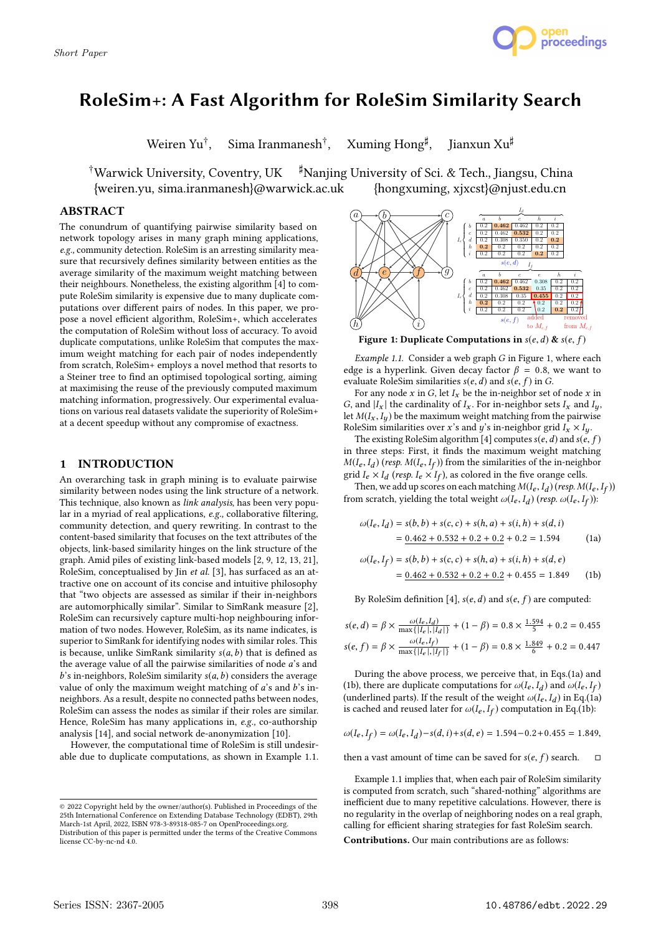

# RoleSim+: A Fast Algorithm for RoleSim Similarity Search

Weiren Yu† Sima Iranmanesh<sup>†</sup>,

Xuming Hong<sup>#</sup>, Jianxun Xu<sup>‡</sup>

†Warwick University, Coventry, UK ♯Nanjing University of Sci. & Tech., Jiangsu, China {weiren.yu, sima.iranmanesh}@warwick.ac.uk {hongxuming, xjxcst}@njust.edu.cn

# ABSTRACT

The conundrum of quantifying pairwise similarity based on network topology arises in many graph mining applications, e.g., community detection. RoleSim is an arresting similarity measure that recursively defines similarity between entities as the average similarity of the maximum weight matching between their neighbours. Nonetheless, the existing algorithm [4] to compute RoleSim similarity is expensive due to many duplicate computations over different pairs of nodes. In this paper, we propose a novel efficient algorithm, RoleSim+, which accelerates the computation of RoleSim without loss of accuracy. To avoid duplicate computations, unlike RoleSim that computes the maximum weight matching for each pair of nodes independently from scratch, RoleSim+ employs a novel method that resorts to a Steiner tree to find an optimised topological sorting, aiming at maximising the reuse of the previously computed maximum matching information, progressively. Our experimental evaluations on various real datasets validate the superiority of RoleSim+ at a decent speedup without any compromise of exactness.

#### 1 INTRODUCTION

An overarching task in graph mining is to evaluate pairwise similarity between nodes using the link structure of a network. This technique, also known as link analysis, has been very popular in a myriad of real applications, e.g., collaborative filtering, community detection, and query rewriting. In contrast to the content-based similarity that focuses on the text attributes of the objects, link-based similarity hinges on the link structure of the graph. Amid piles of existing link-based models [2, 9, 12, 13, 21], RoleSim, conceptualised by Jin et al. [3], has surfaced as an attractive one on account of its concise and intuitive philosophy that "two objects are assessed as similar if their in-neighbors are automorphically similar". Similar to SimRank measure [2], RoleSim can recursively capture multi-hop neighbouring information of two nodes. However, RoleSim, as its name indicates, is superior to SimRank for identifying nodes with similar roles. This is because, unlike SimRank similarity  $s(a, b)$  that is defined as the average value of all the pairwise similarities of node a's and  $b$ 's in-neighbors, RoleSim similarity  $s(a, b)$  considers the average value of only the maximum weight matching of  $a$ 's and  $b$ 's inneighbors. As a result, despite no connected paths between nodes, RoleSim can assess the nodes as similar if their roles are similar. Hence, RoleSim has many applications in, e.g., co-authorship analysis [14], and social network de-anonymization [10].

However, the computational time of RoleSim is still undesirable due to duplicate computations, as shown in Example 1.1.



Figure 1: Duplicate Computations in  $s(e, d)$  &  $s(e, f)$ 

Example 1.1. Consider a web graph G in Figure 1, where each edge is a hyperlink. Given decay factor  $\beta = 0.8$ , we want to evaluate RoleSim similarities  $s(e, d)$  and  $s(e, f)$  in G.

For any node  $x$  in  $G$ , let  $I_x$  be the in-neighbor set of node  $x$  in G, and  $|I_x|$  the cardinality of  $I_x$ . For in-neighbor sets  $I_x$  and  $I_y$ , let  $M(I_x, I_y)$  be the maximum weight matching from the pairwise RoleSim similarities over x's and y's in-neighbor grid  $I_x \times I_y$ .

The existing RoleSim algorithm [4] computes  $s(e, d)$  and  $s(e, f)$ in three steps: First, it finds the maximum weight matching  $M(I_e, I_d)$  (resp.  $M(I_e, I_f)$ ) from the similarities of the in-neighbor<br>grid  $I_1 \times I_1$  (resp.  $I_2 \times I_2$ ) as colored in the five orange cells grid  $I_e \times I_d$  (resp.  $I_e \times I_f$ ), as colored in the five orange cells.<br>Then we add up scores on each matching  $M(I, I_1)$  (resp. M)

Then, we add up scores on each matching  $M(I_e, I_d)$  (resp.  $M(I_e, I_f)$ )<br>up scratch, vielding the total weight  $\omega(I_e, I_e)$  (resp.  $\omega(I_e, I_e)$ ). <sup>J</sup> from scratch, yielding the total weight  $\omega(\bar{I}_e, I_d)$  (resp.  $\omega(I_e, I_f)$ ):  $\overline{\phantom{a}}$ 

$$
\omega(I_e, I_d) = s(b, b) + s(c, c) + s(h, a) + s(i, h) + s(d, i)
$$
  
= 0.462 + 0.532 + 0.2 + 0.2 + 0.2 = 1.594 (1a)

$$
\omega(I_e, I_f) = s(b, b) + s(c, c) + s(h, a) + s(i, h) + s(d, e)
$$
  
= 0.462 + 0.532 + 0.2 + 0.2 + 0.455 = 1.849 (1b)

By RoleSim definition [4],  $s(e, d)$  and  $s(e, f)$  are computed:

$$
s(e,d) = \beta \times \frac{\omega(I_e, I_d)}{\max\{|I_e|, |I_d|\}} + (1 - \beta) = 0.8 \times \frac{1.594}{5} + 0.2 = 0.455
$$
  

$$
s(e,f) = \beta \times \frac{\omega(I_e, I_f)}{\max\{|I_e|, |I_f|\}} + (1 - \beta) = 0.8 \times \frac{1.849}{6} + 0.2 = 0.447
$$

During the above process, we perceive that, in Eqs.(1a) and (1b), there are duplicate computations for  $\omega(I_e, I_d)$  and  $\omega(I_e, I_f)$ <br>(underlined parts) If the result of the weight  $\omega(I_e, I_i)$  in Eq. (12) (underlined parts). If the result of the weight  $\omega(I_e, I_d)$  in Eq.(1a) is cached and reused later for  $\omega(I_e, I_c)$  computation in Eq.(1b). is cached and reused later for  $\omega(I_e, I_f)$  computation in Eq.(1b):

$$
\omega(I_e, I_f) = \omega(I_e, I_d) - s(d, i) + s(d, e) = 1.594 - 0.2 + 0.455 = 1.849,
$$

 $\overline{a}$ 

then a vast amount of time can be saved for  $s(e, f)$  search.  $\Box$ 

Example 1.1 implies that, when each pair of RoleSim similarity is computed from scratch, such "shared-nothing" algorithms are inefficient due to many repetitive calculations. However, there is no regularity in the overlap of neighboring nodes on a real graph, calling for efficient sharing strategies for fast RoleSim search.

Contributions. Our main contributions are as follows:

<sup>©</sup> 2022 Copyright held by the owner/author(s). Published in Proceedings of the 25th International Conference on Extending Database Technology (EDBT), 29th March-1st April, 2022, ISBN 978-3-89318-085-7 on OpenProceedings.org. Distribution of this paper is permitted under the terms of the Creative Commons license CC-by-nc-nd 4.0.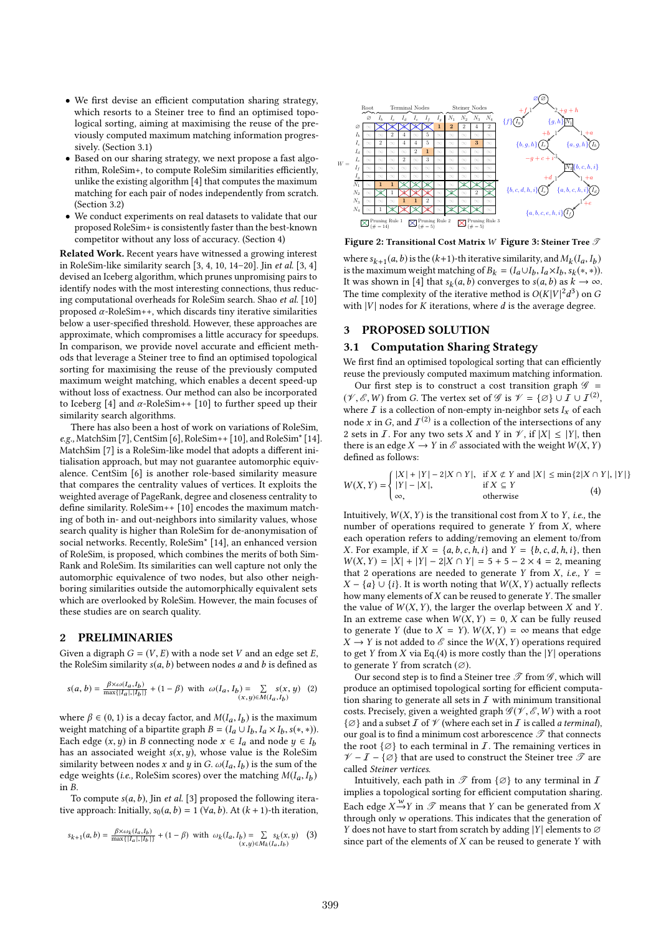- We first devise an efficient computation sharing strategy, which resorts to a Steiner tree to find an optimised topological sorting, aiming at maximising the reuse of the previously computed maximum matching information progressively. (Section 3.1)
- Based on our sharing strategy, we next propose a fast algorithm, RoleSim+, to compute RoleSim similarities efficiently, unlike the existing algorithm [4] that computes the maximum matching for each pair of nodes independently from scratch. (Section 3.2)
- We conduct experiments on real datasets to validate that our proposed RoleSim+ is consistently faster than the best-known competitor without any loss of accuracy. (Section 4)

Related Work. Recent years have witnessed a growing interest in RoleSim-like similarity search [3, 4, 10, 14–20]. Jin et al. [3, 4] devised an Iceberg algorithm, which prunes unpromising pairs to identify nodes with the most interesting connections, thus reducing computational overheads for RoleSim search. Shao et al. [10] proposed  $\alpha$ -RoleSim++, which discards tiny iterative similarities below a user-specified threshold. However, these approaches are approximate, which compromises a little accuracy for speedups. In comparison, we provide novel accurate and efficient methods that leverage a Steiner tree to find an optimised topological sorting for maximising the reuse of the previously computed maximum weight matching, which enables a decent speed-up without loss of exactness. Our method can also be incorporated to Iceberg [4] and  $\alpha$ -RoleSim++ [10] to further speed up their similarity search algorithms.

There has also been a host of work on variations of RoleSim, e.g., MatchSim [7], CentSim [6], RoleSim++ [10], and RoleSim\* [14]. MatchSim [7] is a RoleSim-like model that adopts a different initialisation approach, but may not guarantee automorphic equivalence. CentSim [6] is another role-based similarity measure that compares the centrality values of vertices. It exploits the weighted average of PageRank, degree and closeness centrality to define similarity. RoleSim++ [10] encodes the maximum matching of both in- and out-neighbors into similarity values, whose search quality is higher than RoleSim for de-anonymisation of social networks. Recently, RoleSim\* [14], an enhanced version of RoleSim, is proposed, which combines the merits of both Sim-Rank and RoleSim. Its similarities can well capture not only the automorphic equivalence of two nodes, but also other neighboring similarities outside the automorphically equivalent sets which are overlooked by RoleSim. However, the main focuses of these studies are on search quality.

# 2 PRELIMINARIES

Given a digraph  $G = (V, E)$  with a node set V and an edge set E, the RoleSim similarity  $s(a, b)$  between nodes a and b is defined as

$$
s(a, b) = \frac{\beta \times \omega(I_a, I_b)}{\max\{|I_a|, |I_b|\}} + (1 - \beta) \text{ with } \omega(I_a, I_b) = \sum_{(x, y) \in M(I_a, I_b)} s(x, y) \tag{2}
$$

where  $\beta \in (0, 1)$  is a decay factor, and  $M(I_a, I_b)$  is the maximum<br>weight matching of a binartite graph  $B = (I_a \cup I_b \cup I_a \times I_b \cup (m \times m))$ weight matching of a bipartite graph  $B = (I_a \cup I_b, I_a \times I_b, s(*, *)$ .<br>Each edge  $(x, y)$  in B connecting node  $x \in I_a$  and node  $y \in I_b$ . Each edge  $(x, y)$  in B connecting node  $x \in I_a$  and node  $y \in I_b$ has an associated weight  $s(x, y)$ , whose value is the RoleSim similarity between nodes x and y in  $G$ .  $\omega(I_a, I_b)$  is the sum of the edge weights (i.e. RoleSim scores) over the matching  $M(I_a, I_b)$ edge weights (*i.e.*, RoleSim scores) over the matching  $M(I_a, I_b)$ <br>in B in B.

To compute  $s(a, b)$ , Jin et al. [3] proposed the following iterative approach: Initially,  $s_0(a, b) = 1$  ( $\forall a, b$ ). At  $(k + 1)$ -th iteration,

$$
s_{k+1}(a,b) = \frac{\beta \times \omega_k(I_a, I_b)}{\max\{|I_a|, |I_b|\}} + (1 - \beta) \text{ with } \omega_k(I_a, I_b) = \sum_{(x,y) \in M_k(I_a, I_b)} s_k(x,y) \tag{3}
$$



Figure 2: Transitional Cost Matrix  $W$  Figure 3: Steiner Tree  $\beta$ 

where  $s_{k+1}(a, b)$  is the  $(k+1)$ -th iterative similarity, and  $M_k(I_a, I_b)$ <br>is the maximum weight matching of  $B_l = (I_a \cup I_l, I_a \times I_l, s_l(\ast, \ast))$ is the maximum weight matching of  $B_k = (I_a \cup I_b, I_a \times I_b, s_k(*, *))$ .<br>It was shown in [4] that s<sub>t</sub>(a, b) converges to s(a, b) as  $k \to \infty$ . It was shown in [4] that  $s_k(a, b)$  converges to  $s(a, b)$  as  $k \to \infty$ .<br>The time complexity of the iterative method is  $O(K|V|^2d^3)$  on G The time complexity of the iterative method is  $O(K|V|^2d^3)$  on G with  $|V|$  nodes for K iterations where d is the average degree with  $|V|$  nodes for K iterations, where d is the average degree.

### 3 PROPOSED SOLUTION

# 3.1 Computation Sharing Strategy

We first find an optimised topological sorting that can efficiently reuse the previously computed maximum matching information.

Our first step is to construct a cost transition graph  $\mathscr{G}$  = ( $\mathcal{V}, \mathcal{E}, W$ ) from G. The vertex set of  $\mathcal{G}$  is  $\mathcal{V} = {\emptyset} \cup I \cup I^{(2)}$ , where  $I$  is a collection of non-empty in-peighbor sets L. of each where  $\overline{I}$  is a collection of non-empty in-neighbor sets  $I_x$  of each node x in G, and  $I^{(2)}$  is a collection of the intersections of any 2 sets in  $\overline{I}$ . For any two sets X and Y in  $\mathcal{V}$  if  $|X| < |Y|$  then 2 sets in *I*. For any two sets *X* and *Y* in  $\mathcal{V}$ , if  $|X| \leq |Y|$ , then there is an edge  $X \to Y$  in  $\mathscr E$  associated with the weight  $W(X, Y)$ defined as follows:

$$
W(X, Y) = \begin{cases} |X| + |Y| - 2|X \cap Y|, & \text{if } X \notin Y \text{ and } |X| \le \min\{2|X \cap Y|, |Y|\} \\ |Y| - |X|, & \text{if } X \subseteq Y \\ \infty, & \text{otherwise} \end{cases} \tag{4}
$$

Intuitively,  $W(X, Y)$  is the transitional cost from  $X$  to  $Y$ , i.e., the number of operations required to generate  $Y$  from  $X$ , where each operation refers to adding/removing an element to/from *X*. For example, if  $X = \{a, b, c, h, i\}$  and  $Y = \{b, c, d, h, i\}$ , then  $W(X, Y) = |X| + |Y| - 2|X \cap Y| = 5 + 5 - 2 \times 4 = 2$ , meaning that 2 operations are needed to generate Y from X, *i.e.*,  $Y =$  $X - \{a\} \cup \{i\}$ . It is worth noting that  $W(X, Y)$  actually reflects how many elements of  $X$  can be reused to generate  $Y$ . The smaller the value of  $W(X, Y)$ , the larger the overlap between X and Y. In an extreme case when  $W(X, Y) = 0$ , X can be fully reused to generate Y (due to  $X = Y$ ).  $W(X, Y) = \infty$  means that edge  $X \to Y$  is not added to  $\mathscr E$  since the  $W(X, Y)$  operations required to get Y from X via Eq.(4) is more costly than the  $|Y|$  operations to generate Y from scratch  $(\emptyset)$ .

Our second step is to find a Steiner tree  ${\mathscr T}$  from  ${\mathscr G},$  which will produce an optimised topological sorting for efficient computation sharing to generate all sets in  $I$  with minimum transitional costs. Precisely, given a weighted graph  $\mathscr{G}(\mathscr{V}, \mathscr{E}, W)$  with a root  $\{\emptyset\}$  and a subset  $\overline{I}$  of  $\mathscr V$  (where each set in  $\overline{I}$  is called a terminal), our goal is to find a minimum cost arborescence  ${\mathscr{T}}$  that connects the root  $\{\emptyset\}$  to each terminal in  $I$ . The remaining vertices in  $\mathcal{V}$  –  $I$  –  $\{\varnothing\}$  that are used to construct the Steiner tree  $\mathscr{T}$  are called Steiner vertices.

Intuitively, each path in  $\mathscr T$  from  $\{\varnothing\}$  to any terminal in  $I$ implies a topological sorting for efficient computation sharing. Each edge  $X \xrightarrow{W} Y$  in  $\mathscr T$  means that Y can be generated from X<br>through only w operations. This indicates that the generation of through only w operations. This indicates that the generation of Y does not have to start from scratch by adding |Y| elements to  $\varnothing$ since part of the elements of  $X$  can be reused to generate  $Y$  with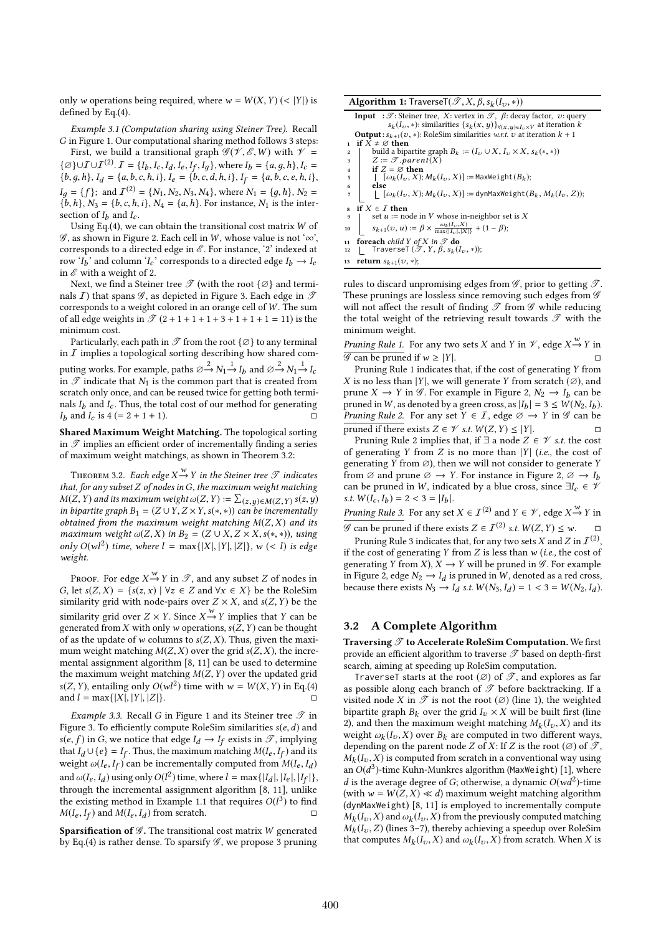only w operations being required, where  $w = W(X, Y)$  (< |Y|) is defined by Eq.(4).

Example 3.1 (Computation sharing using Steiner Tree). Recall G in Figure 1. Our computational sharing method follows 3 steps:

First, we build a transitional graph  $\mathscr{G}(\mathscr{V}, \mathscr{E}, W)$  with  $\mathscr{V} =$  $\{\emptyset\}$ ∪ $I$ ∪ $I^{(2)}$ ,  $I = \{I_b, I_c, I_d, I_e, I_f, I_g\}$ , where  $I_b = \{a, g, h\}$ ,  $I_c = \{b, a, b, c, e, b, i\}$  ${b, g, h}, I_d = {a, b, c, h, i}, I_e = {b, c, d, h, i}, I_f = {a, b, c, e, h, i},$  $I_g = \{f\}$ ; and  $I^{(2)} = \{N_1, N_2, N_3, N_4\}$ , where  $N_1 = \{g, h\}$ ,  $N_2 =$ <br> $\{h, h\}$ ,  $N_2 = \{h, c, h, i\}$ ,  $N_4 = \{g, h\}$ . For instance,  $N_1$  is the inter- ${b, h}$ ,  $N_3 = {b, c, h, i}$ ,  $N_4 = {a, h}$ . For instance,  $N_1$  is the intersection of  $I_h$  and  $I_c$ .

Using Eq.(4), we can obtain the transitional cost matrix  $W$  of  $\mathscr G$ , as shown in Figure 2. Each cell in W, whose value is not ' $\infty$ ', corresponds to a directed edge in  $\mathscr E$ . For instance, '2' indexed at row  ${}^{'}I_b$  and column  ${}^{'}I_c$  corresponds to a directed edge  $I_b \rightarrow I_c$ <br>in  ${}^{'}\!\mathscr{E}$  with a weight of 2 in  $\mathscr E$  with a weight of 2.

Next, we find a Steiner tree  $\mathscr T$  (with the root  $\{\varnothing\}$  and terminals *I*) that spans  $\mathscr G$ , as depicted in Figure 3. Each edge in  $\mathscr T$ corresponds to a weight colored in an orange cell of W. The sum of all edge weights in  $\mathscr{T}(2 + 1 + 1 + 1 + 3 + 1 + 1 + 1 = 11)$  is the minimum cost.

Particularly, each path in  $\mathscr T$  from the root { $\varnothing$ } to any terminal in  $I$  implies a topological sorting describing how shared computing works. For example, paths  $\emptyset \rightarrow N_1 \rightarrow I_b$  and  $\emptyset \rightarrow N_1 \rightarrow I_c$ <br>in  $\mathcal T$  indicate that  $N_1$  is the common part that is created from in  $\mathscr T$  indicate that  $N_1$  is the common part that is created from scratch only once, and can be reused twice for getting both terminals  $I<sub>b</sub>$  and  $I<sub>c</sub>$ . Thus, the total cost of our method for generating  $I_b$  and  $I_c$  is  $4 (= 2 + 1 + 1)$ .

Shared Maximum Weight Matching. The topological sorting in  $\mathscr T$  implies an efficient order of incrementally finding a series of maximum weight matchings, as shown in Theorem 3.2:

THEOREM 3.2. Each edge  $X \xrightarrow{W} Y$  in the Steiner tree  $\mathscr T$  indicates<br>it for any subset Z of nodes in G, the maximum weight matching that, for any subset  $Z$  of nodes in  $G$ , the maximum weight matching  $M(Z, Y)$  and its maximum weight  $\omega(Z, Y) := \sum_{(z, y) \in M(Z, Y)} s(z, y)$ <br>in hinertite graph  $B_1 = (Z \cup Y, Z \times Y, s(z, x))$  can be incrementally in bipartite graph  $B_1 = (Z \cup Y, Z \times Y, s(*, *)$  can be incrementally obtained from the maximum weight matching  $M(Z, X)$  and its maximum weight  $\omega(Z, X)$  in  $B_2 = (Z \cup X, Z \times X, s(*, *)),$  using only  $O(wl^2)$  time, where  $l = \max\{|X|, |Y|, |Z|\}$ ,  $w \le l$  is edgenerated. weight.

PROOF. For edge  $X \xrightarrow{W} Y$  in  $\mathscr{T}$ , and any subset Z of nodes in let  $s(Z, X) = \{s(z, x) \mid \forall z \in Z \text{ and } \forall x \in X\}$  be the RoleSim G, let  $s(Z, X) = \{s(z, x) \mid \forall z \in Z \text{ and } \forall x \in X\}$  be the RoleSim similarity grid with node-pairs over  $Z \times X$ , and  $s(Z, Y)$  be the similarity grid over  $Z \times Y$ . Since  $X \stackrel{w}{\rightarrow} Y$  implies that Y can be senerated from X with only w operations  $s(Z, Y)$  can be thought generated from X with only w operations,  $s(Z, Y)$  can be thought of as the update of w columns to  $s(Z, X)$ . Thus, given the maximum weight matching  $M(Z, X)$  over the grid  $s(Z, X)$ , the incremental assignment algorithm [8, 11] can be used to determine the maximum weight matching  $M(Z, Y)$  over the updated grid  $s(Z, Y)$ , entailing only  $O(wl^2)$  time with  $w = W(X, Y)$  in Eq.(4) and  $l = \max\{|X|, |Y|, |Z|\}.$ 

*Example 3.3.* Recall G in Figure 1 and its Steiner tree  $\mathscr T$  in Figure 3. To efficiently compute RoleSim similarities  $s(e, d)$  and  $s(e, f)$  in G, we notice that edge  $I_d \rightarrow I_f$  exists in  $\mathscr{T}$ , implying that  $I_1 \cup \{e\} = I_c$ . Thus the maximum matching  $M(I_1, I_2)$  and its that  $I_d \cup \{e\} = I_f$ . Thus, the maximum matching  $M(I_e, I_f)$  and its<br>weight  $\omega(I_e, I_c)$  can be incrementally computed from  $M(I_e, I_i)$ weight  $\omega(I_e, I_f)$  can be incrementally computed from  $M(I_e, I_d)$ and  $\omega(I_e, I_d)$  using only  $O(I^2)$  time, where  $I = \max\{|I_d|, |I_e|, |I_f|\}$ , through the incremental assignment algorithm [8, 11] unlike f through the incremental assignment algorithm [8, 11], unlike the existing method in Example 1.1 that requires  $O(l^3)$  to find  $M(I_s, I_s)$  and  $M(I_s, I_s)$  from scratch  $M(I_e, I_f)$  and  $M(I_e, I_d)$  from scratch. □

 $\overline{\textbf{S}}$  parsification of  $\mathscr{G}.$  The transitional cost matrix  $W$  generated by Eq. (4) is rather dense. To sparsify  $\mathscr{G}$  , we propose 3 pruning by Eq.(4) is rather dense. To sparsify  $\mathscr G$ , we propose 3 pruning

| <b>Input</b> : $\mathscr{T}$ : Steiner tree, X: vertex in $\mathscr{T}$ , $\beta$ : decay factor, v: query<br>$s_k(I_v, *)$ : similarities $\{s_k(x, y)\}\forall (x, y) \in I_v \times V$ at iteration k<br><b>Output:</b> $s_{k+1}(v,*)$ : RoleSim similarities w.r.t. v at iteration $k+1$<br>if $X \neq \emptyset$ then<br>1<br>build a bipartite graph $B_k := (I_v \cup X, I_v \times X, s_k(*, *))$<br>$\overline{\mathbf{2}}$<br>$Z := \mathscr{T}.parent(X)$<br>3<br>if $Z = \emptyset$ then<br>$\overline{4}$<br>$\left[\begin{array}{c} [\omega_k(I_n, X); M_k(I_n, X)] \end{array}\right] :=$ MaxWeight $(B_k)$ ;<br>5<br>else<br>6<br>$[\![\omega_k(I_v,X);M_k(I_v,X)]\!]:=$ dynMaxWeight $(B_k,M_k(I_v,Z));$<br>7<br>if $X \in \mathcal{I}$ then<br>8<br>set $u :=$ node in V whose in-neighbor set is X<br>9<br>$s_{k+1}(v, u) := \beta \times \frac{\omega_k(I_v, X)}{\max\{ I_v ,  X \}} + (1 - \beta);$<br>10<br><b>foreach</b> child Y of X in $\mathscr T$ do<br>11<br>TraverseT $(\mathscr{T}, Y, \beta, s_k(I_v, *));$<br>12<br>return $s_{k+1}(v, *)$ ;<br>13 | <b>Algorithm 1:</b> TraverseT( $\mathscr{T}, X, \beta, s_k(I_v, *)$ ) |
|-------------------------------------------------------------------------------------------------------------------------------------------------------------------------------------------------------------------------------------------------------------------------------------------------------------------------------------------------------------------------------------------------------------------------------------------------------------------------------------------------------------------------------------------------------------------------------------------------------------------------------------------------------------------------------------------------------------------------------------------------------------------------------------------------------------------------------------------------------------------------------------------------------------------------------------------------------------------------------------------------------------------------------------------------------------------------------------|-----------------------------------------------------------------------|
|                                                                                                                                                                                                                                                                                                                                                                                                                                                                                                                                                                                                                                                                                                                                                                                                                                                                                                                                                                                                                                                                                     |                                                                       |
|                                                                                                                                                                                                                                                                                                                                                                                                                                                                                                                                                                                                                                                                                                                                                                                                                                                                                                                                                                                                                                                                                     |                                                                       |
|                                                                                                                                                                                                                                                                                                                                                                                                                                                                                                                                                                                                                                                                                                                                                                                                                                                                                                                                                                                                                                                                                     |                                                                       |
|                                                                                                                                                                                                                                                                                                                                                                                                                                                                                                                                                                                                                                                                                                                                                                                                                                                                                                                                                                                                                                                                                     |                                                                       |
|                                                                                                                                                                                                                                                                                                                                                                                                                                                                                                                                                                                                                                                                                                                                                                                                                                                                                                                                                                                                                                                                                     |                                                                       |
|                                                                                                                                                                                                                                                                                                                                                                                                                                                                                                                                                                                                                                                                                                                                                                                                                                                                                                                                                                                                                                                                                     |                                                                       |
|                                                                                                                                                                                                                                                                                                                                                                                                                                                                                                                                                                                                                                                                                                                                                                                                                                                                                                                                                                                                                                                                                     |                                                                       |
|                                                                                                                                                                                                                                                                                                                                                                                                                                                                                                                                                                                                                                                                                                                                                                                                                                                                                                                                                                                                                                                                                     |                                                                       |
|                                                                                                                                                                                                                                                                                                                                                                                                                                                                                                                                                                                                                                                                                                                                                                                                                                                                                                                                                                                                                                                                                     |                                                                       |
|                                                                                                                                                                                                                                                                                                                                                                                                                                                                                                                                                                                                                                                                                                                                                                                                                                                                                                                                                                                                                                                                                     |                                                                       |
|                                                                                                                                                                                                                                                                                                                                                                                                                                                                                                                                                                                                                                                                                                                                                                                                                                                                                                                                                                                                                                                                                     |                                                                       |
|                                                                                                                                                                                                                                                                                                                                                                                                                                                                                                                                                                                                                                                                                                                                                                                                                                                                                                                                                                                                                                                                                     |                                                                       |
|                                                                                                                                                                                                                                                                                                                                                                                                                                                                                                                                                                                                                                                                                                                                                                                                                                                                                                                                                                                                                                                                                     |                                                                       |
|                                                                                                                                                                                                                                                                                                                                                                                                                                                                                                                                                                                                                                                                                                                                                                                                                                                                                                                                                                                                                                                                                     |                                                                       |
|                                                                                                                                                                                                                                                                                                                                                                                                                                                                                                                                                                                                                                                                                                                                                                                                                                                                                                                                                                                                                                                                                     |                                                                       |
|                                                                                                                                                                                                                                                                                                                                                                                                                                                                                                                                                                                                                                                                                                                                                                                                                                                                                                                                                                                                                                                                                     |                                                                       |

rules to discard unpromising edges from  $\mathscr G$ , prior to getting  $\mathscr T$ . These prunings are lossless since removing such edges from  $\mathscr G$ will not affect the result of finding  $\mathscr T$  from  $\mathscr G$  while reducing the total weight of the retrieving result towards  $\mathscr T$  with the minimum weight.

*Pruning Rule 1.* For any two sets X and Y in  $\mathcal{V}$ , edge  $X \xrightarrow{W} Y$  in  $\mathcal{V}$  can be pruped if  $\mathcal{U} \times |V|$  $\mathscr{G}$  can be pruned if  $w \ge |Y|$ . □<br>Pruning Rule 1 indicates that if the cost of generating Y from

Pruning Rule 1 indicates that, if the cost of generating Y from<br>is no less than  $|Y|$  we will generate Y from scratch  $(\emptyset)$  and X is no less than |Y|, we will generate Y from scratch  $(\emptyset)$ , and prune  $X \to Y$  in  $\mathscr{G}$ . For example in Figure 2,  $N_2 \to I_b$  can be pruned in W as denoted by a green cross as  $|I_1| = 3 \lt W(N_2, I_1)$ pruned in W, as denoted by a green cross, as  $|I_b| = 3 \leq W(N_2, I_b)$ .<br>Pruning Rule 2 For any set  $Y \in I$  edge  $\emptyset \to Y$  in  $\mathscr{G}$  can be *Pruning Rule 2.* For any set  $Y \in \mathcal{I}$ , edge  $\emptyset \to Y$  in  $\mathcal G$  can be pruned if there exists  $Z \in \mathcal V$  s.t.  $W(Z, Y) \le |Y|$ . pruned if there exists  $Z \in \mathcal{V}$  s.t.  $W(Z, Y) \leq |Y|$ . □<br>Pruning Rule 2 implies that if  $\exists$  a node  $Z \in \mathcal{V}$  s.t. the cost

Pruning Rule 2 implies that, if  $\exists$  a node  $Z \in \mathcal{V}$  s.t. the cost generating Y from Z is no more than |Y| (ie) the cost of of generating Y from Z is no more than  $|Y|$  (*i.e.*, the cost of generating Y from  $\emptyset$ ), then we will not consider to generate Y from  $\emptyset$  and prune  $\emptyset \to Y$ . For instance in Figure 2,  $\emptyset \to I_b$ can be pruned in W, indicated by a blue cross, since  $\exists I_c \in \mathcal{V}$ s.t.  $W(\bar{l_c}, I_b) = 2 < 3 = |I_b|$ .

Pruning Rule 3. For any set  $X \in \mathcal{I}^{(2)}$  and  $Y \in \mathcal{V}$ , edge  $X \xrightarrow{\omega} Y$  in

G can be pruned if there exists  $Z \in I^{(2)}$  s.t.  $W(Z, Y) \leq w$ . □ Pruning Rule 3 indicates that, for any two sets X and Z in  $I^{(2)}$ , the cost of generating Y from Z is less than w (i.e., the cost of if the cost of generating Y from Z is less than  $w$  (i.e., the cost of generating Y from X),  $X \to Y$  will be pruned in  $\mathscr{G}$ . For example in Figure 2, edge  $N_2 \rightarrow I_d$  is pruned in W, denoted as a red cross,<br>because there exists  $N_2 \rightarrow I_d$  is t  $W(N_2 \mid I_d) = 1 < 3 = W(N_2 \mid I_d)$ because there exists  $N_3 \rightarrow I_d$  s.t.  $W(N_3, I_d) = 1 < 3 = W(N_2, I_d)$ .

### 3.2 A Complete Algorithm

Traversing  $\mathscr T$  to Accelerate RoleSim Computation. We first provide an efficient algorithm to traverse  $\mathscr T$  based on depth-first search, aiming at speeding up RoleSim computation.

TraverseT starts at the root  $(\emptyset)$  of  $\mathscr{T}$ , and explores as far as possible along each branch of  $\mathscr T$  before backtracking. If a visited node X in  $\mathscr T$  is not the root ( $\varnothing$ ) (line 1), the weighted bipartite graph  $B_k$  over the grid  $I_v \times X$  will be built first (line 2), and then the maximum weight matching  $M_k(I_v, X)$  and its<br>weight  $\omega_l(I_v, X)$  over  $B_l$  are computed in two different waves weight  $\omega_k(I_v, X)$  over  $B_k$  are computed in two different ways,<br>depending on the parent node Z of X. If Z is the root  $(\emptyset)$  of  $\mathcal{T}$ depending on the parent node Z of X: If Z is the root  $(\emptyset)$  of  $\mathscr{T}$ , an  $O(d^3)$ -time Kuhn-Munkres algorithm (MaxWeight) [1], where<br>d is the average degree of G; otherwise a dynamic  $O(wd^2)$ -time  $M_k(I_v, X)$  is computed from scratch in a conventional way using d is the average degree of G; otherwise, a dynamic  $O(wd^2)$ -time<br>(with  $w = W(Z, X) \ll d$ ) maximum weight matching algorithm (with  $w = W(Z, X) \ll d$ ) maximum weight matching algorithm (dynMaxWeight) [8, 11] is employed to incrementally compute  $M_k(I_v, Z)$  (lines 3–7), thereby achieving a speedup over RoleSim<br>that computes  $M_l(I_v, X)$  and  $\omega_l(I_v, X)$  from scratch When X is  $(I_v, X)$  and  $\omega_k(I_v, X)$  from the previously computed matching  $(I_v, Z)$  (lines 3–7) thereby achieving a speedup over RoleSim that computes  $M_k(I_v, X)$  and  $\omega_k(I_v, X)$  from scratch. When X is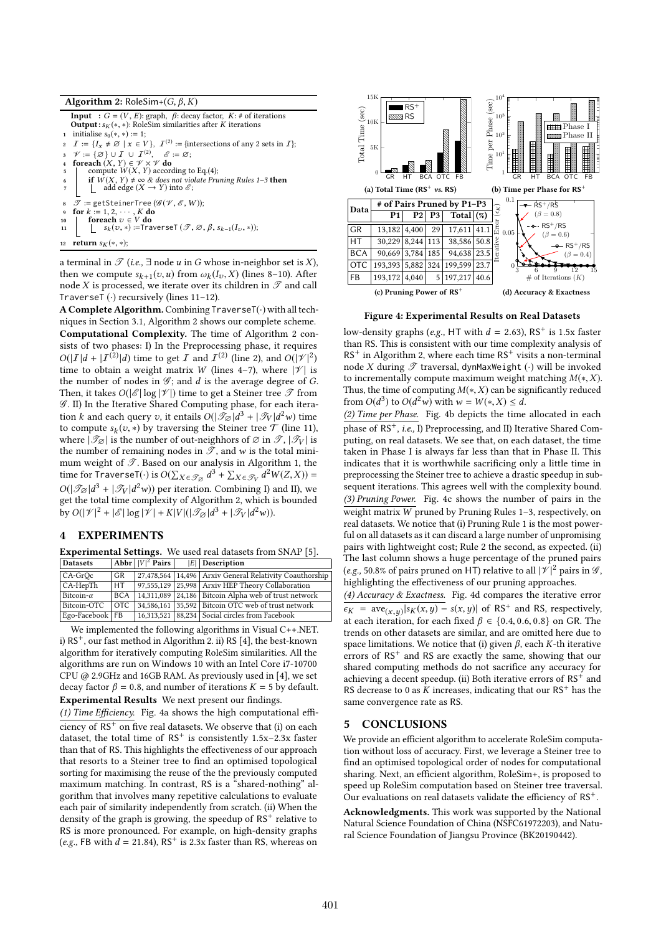| <b>Algorithm 2:</b> RoleSim+(G, $\beta$ , K)                                                                                                                                                                                                                                                                                       |  |  |  |
|------------------------------------------------------------------------------------------------------------------------------------------------------------------------------------------------------------------------------------------------------------------------------------------------------------------------------------|--|--|--|
| $\mathbf{I}$ $\mathbf{A}$ $\mathbf{A}$ $\mathbf{A}$ $\mathbf{B}$ $\mathbf{C}$ $\mathbf{A}$ $\mathbf{D}$ $\mathbf{A}$ $\mathbf{A}$ $\mathbf{A}$ $\mathbf{A}$ $\mathbf{A}$ $\mathbf{A}$ $\mathbf{A}$ $\mathbf{A}$ $\mathbf{A}$ $\mathbf{A}$ $\mathbf{A}$ $\mathbf{A}$ $\mathbf{A}$ $\mathbf{A}$ $\mathbf{A}$ $\mathbf{A}$ $\mathbf{$ |  |  |  |

**Input** :  $G = (V, E)$ : graph,  $\beta$ : decay factor,  $K: \#$  of iterations<br>**Output**:  $s_V(*)$ : RoleSim similarities after K iterations **Output :**  $s_K$ (∗, ∗): RoleSim similarities after K iterations initialise  $s_0$ (∗, ∗) := 1: 1 initialise  $s_0(*, *) := 1;$ <br>2  $\mathcal{T} := \{L, \pm \emptyset \mid x \in V\}$ 2  $I := \{I_x \neq \emptyset \mid x \in V\}, I^{(2)} := \{\text{in} \}$ <br>3  $\mathcal{V} := \{\emptyset\} \cup I \cup I^{(2)}, \mathcal{E} := \emptyset;$ <sup>(2)</sup> := {intersections of any 2 sets in  $\mathcal{I}$ }; 4 **foreach**  $(X, Y) \in \mathcal{V} \times \mathcal{V}$  **do**<br>5 | compute  $W(X, Y)$  accor 5 compute  $W(X, Y)$  according to Eq.(4);<br>5 if  $W(X, Y) \neq \infty$  & does not violate Pri-6 if  $W(X, Y) \neq \infty$  & does not violate Pruning Rules 1–3 then  $\uparrow$  add edge  $(X \to Y)$  into  $\mathcal{E}$ ;  $\mathscr{T}$  := getSteinerTree ( $\mathscr{G}(\mathscr{V}, \mathscr{E}, W)$ ); for  $k := 1, 2, \cdots, K$  do 10  $\left[\begin{array}{c} \textbf{for each } v \in V \textbf{ do} \\ \downarrow s_k(v, *) := \textbf{Traverser}(\mathcal{T}, \emptyset, \beta, s_{k-1}(I_v, *)); \end{array}\right]$ 12 return  $s_K(*, *)$ ;

a terminal in  $\mathscr T$  (i.e.,  $\exists$  node u in G whose in-neighbor set is X), then we compute  $s_{k+1}(v, u)$  from  $\omega_k(I_v, X)$  (lines 8–10). After node X is processed we iterate over its children in  $\mathcal{T}$  and call node X is processed, we iterate over its children in  $\mathscr T$  and call TraverseT  $(·)$  recursively (lines 11-12).

A Complete Algorithm. Combining TraverseT(·) with all techniques in Section 3.1, Algorithm 2 shows our complete scheme. Computational Complexity. The time of Algorithm 2 consists of two phases: I) In the Preprocessing phase, it requires  $O(|I|d + |I^{(2)}|d)$  time to get I and  $I^{(2)}$  (line 2), and  $O(|\mathcal{V}|^2)$  time to obtain a weight matrix W (lines 4–7) where  $|\mathcal{V}|$  is time to obtain a weight matrix W (lines 4-7), where  $|\mathcal{V}|$  is the number of nodes in  $\mathcal{G}$ ; and  $d$  is the average degree of  $G$ . Then, it takes  $O(|\mathscr{E}| \log |\mathscr{V}|)$  time to get a Steiner tree  $\mathscr{T}$  from  $\mathscr{G}$ . II) In the Iterative Shared Computing phase, for each iteration k and each query v, it entails  $O(|\mathcal{T}_{\alpha}|d^3 + |\mathcal{T}_{V}|d^2w)$  time<br>to compute s<sub>1</sub>(z) \*) by traversing the Steiner tree T (line 11) to compute  $s_k(v, *)$  by traversing the Steiner tree  $\mathcal{T}$  (line 11),<br>where  $|\mathcal{T}_{\alpha}|$  is the number of out-neighbors of  $\varnothing$  in  $\mathcal{T}$   $|\mathcal{T}_{\alpha}|$  is where  $|\mathscr{T}_{\varnothing}|$  is the number of out-neighbors of  $\varnothing$  in  $\mathscr{T}, |\mathscr{T}_{V}|$  is the number of remaining nodes in  $\mathscr{T}$ , and w is the total minimum weight of  $\mathscr T$ . Based on our analysis in Algorithm 1, the time for TraverseT(·) is  $O(\sum_{X \in \mathcal{T}_{\emptyset}} d^3 + \sum_{X \in \mathcal{T}_{V}} d^2 W(Z, X)) =$ <br> $O(|\mathcal{T}| |d^3 + |\mathcal{T}| |d^2$ . (b) non iteration. Combining I) and II) are  $O(|\mathcal{I}_{\alpha}|d^3 + |\mathcal{I}_{V}|d^2w)$  per iteration. Combining I) and II), we<br>get the total time complexity of Algorithm 2, which is bounded get the total time complexity of Algorithm 2, which is bounded by  $O(|\mathscr{V}|^2 + |\mathscr{E}| \log |\mathscr{V}| + K|V|(|\mathscr{T}_{\mathscr{D}}|d^3 + |\mathscr{T}_{V}|d^2w)).$ 

# 4 EXPERIMENTS

Experimental Settings. We used real datasets from SNAP [5].

| <b>Datasets</b>   |            | Abbr $ V ^2$ Pairs | $ E $ Description                                       |
|-------------------|------------|--------------------|---------------------------------------------------------|
| CA-GrOc           | GR.        |                    | 27,478,564 14,496 Arxiv General Relativity Coauthorship |
| CA-HepTh          | HT         |                    | 97,555,129   25,998   Arxiv HEP Theory Collaboration    |
| Bitcoin- $\alpha$ | <b>BCA</b> |                    | 14,311,089 24,186 Bitcoin Alpha web of trust network    |
| Bitcoin-OTC       | OTC.       |                    | 34,586,161 35,592 Bitcoin OTC web of trust network      |
| Ego-Facebook FB   |            |                    | 16,313,521 88,234 Social circles from Facebook          |

We implemented the following algorithms in Visual C++.NET. i)  $RS^+$ , our fast method in Algorithm 2. ii) RS [4], the best-known algorithm for iteratively computing RoleSim similarities. All the algorithms are run on Windows 10 with an Intel Core i7-10700 CPU @ 2.9GHz and 16GB RAM. As previously used in [4], we set decay factor  $\beta = 0.8$ , and number of iterations  $K = 5$  by default. Experimental Results We next present our findings.

(1) Time Efficiency. Fig. 4a shows the high computational efficiency of  $RS^+$  on five real datasets. We observe that (i) on each dataset, the total time of  $RS^+$  is consistently  $1.5x-2.3x$  faster than that of RS. This highlights the effectiveness of our approach that resorts to a Steiner tree to find an optimised topological sorting for maximising the reuse of the the previously computed maximum matching. In contrast, RS is a "shared-nothing" algorithm that involves many repetitive calculations to evaluate each pair of similarity independently from scratch. (ii) When the density of the graph is growing, the speedup of RS<sup>+</sup> relative to RS is more pronounced. For example, on high-density graphs (e.g., FB with  $d = 21.84$ ), RS<sup>+</sup> is 2.3x faster than RS, whereas on



Figure 4: Experimental Results on Real Datasets

low-density graphs (e.g., HT with  $d = 2.63$ ), RS<sup>+</sup> is 1.5x faster than RS. This is consistent with our time complexity analysis of  $RS^+$  in Algorithm 2, where each time  $RS^+$  visits a non-terminal node X during  $\mathscr T$  traversal, dynMaxWeight  $(\cdot)$  will be invoked to incrementally compute maximum weight matching  $M(*, X)$ . Thus, the time of computing  $M(*,X)$  can be significantly reduced from  $O(d^3)$  to  $O(d^2w)$  with  $w = W(*, X) \le d$ .<br>(2) Time per Phase. Fig. 4b domats the time

(2) Time per Phase. Fig. 4b depicts the time allocated in each phase of RS+, i.e., I) Preprocessing, and II) Iterative Shared Computing, on real datasets. We see that, on each dataset, the time taken in Phase I is always far less than that in Phase II. This indicates that it is worthwhile sacrificing only a little time in preprocessing the Steiner tree to achieve a drastic speedup in subsequent iterations. This agrees well with the complexity bound. (3) Pruning Power. Fig. 4c shows the number of pairs in the weight matrix  $\overline{W}$  pruned by Pruning Rules 1-3, respectively, on real datasets. We notice that (i) Pruning Rule 1 is the most powerful on all datasets as it can discard a large number of unpromising pairs with lightweight cost; Rule 2 the second, as expected. (ii) The last column shows a huge percentage of the pruned pairs (e.g., 50.8% of pairs pruned on HT) relative to all  $|\mathcal{V}|^2$  pairs in  $\mathcal{G}$ , highlighting the effectiveness of our pruning approaches.

(4) Accuracy & Exactness. Fig. 4d compares the iterative error  $\overline{\epsilon_K} = \overline{\text{ave}}(x, y) | \text{sk}(x, y) - \text{sk}(x, y) |$  of RS<sup>+</sup> and RS, respectively, at each iteration for each fixed  $\beta \in \{0, 4, 0, 6, 0, 8\}$  on GB. The at each iteration, for each fixed  $\beta \in \{0.4, 0.6, 0.8\}$  on GR. The trends on other datasets are similar, and are omitted here due to space limitations. We notice that (i) given  $\beta$ , each K-th iterative errors of RS<sup>+</sup> and RS are exactly the same, showing that our shared computing methods do not sacrifice any accuracy for achieving a decent speedup. (ii) Both iterative errors of  $RS^+$  and RS decrease to 0 as K increases, indicating that our  $RS^+$  has the same convergence rate as RS.

### 5 CONCLUSIONS

We provide an efficient algorithm to accelerate RoleSim computation without loss of accuracy. First, we leverage a Steiner tree to find an optimised topological order of nodes for computational sharing. Next, an efficient algorithm, RoleSim+, is proposed to speed up RoleSim computation based on Steiner tree traversal. Our evaluations on real datasets validate the efficiency of RS+.

Acknowledgments. This work was supported by the National Natural Science Foundation of China (NSFC61972203), and Natural Science Foundation of Jiangsu Province (BK20190442).